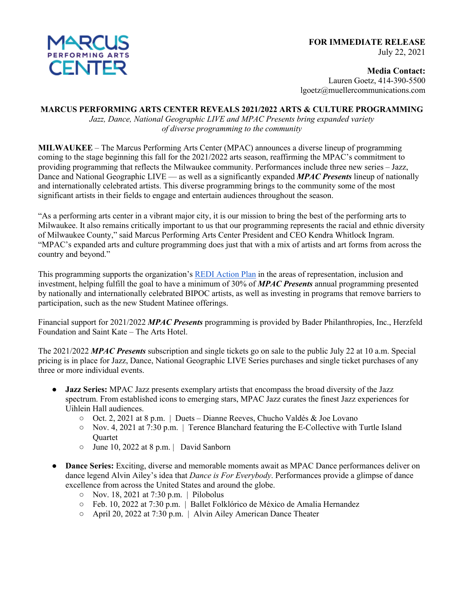

**Media Contact:** Lauren Goetz, 414-390-5500 lgoetz@muellercommunications.com

## **MARCUS PERFORMING ARTS CENTER REVEALS 2021/2022 ARTS & CULTURE PROGRAMMING**

*Jazz, Dance, National Geographic LIVE and MPAC Presents bring expanded variety of diverse programming to the community*

**MILWAUKEE** – The Marcus Performing Arts Center (MPAC) announces a diverse lineup of programming coming to the stage beginning this fall for the 2021/2022 arts season, reaffirming the MPAC's commitment to providing programming that reflects the Milwaukee community. Performances include three new series – Jazz, Dance and National Geographic LIVE — as well as a significantly expanded *MPAC Presents* lineup of nationally and internationally celebrated artists. This diverse programming brings to the community some of the most significant artists in their fields to engage and entertain audiences throughout the season.

"As a performing arts center in a vibrant major city, it is our mission to bring the best of the performing arts to Milwaukee. It also remains critically important to us that our programming represents the racial and ethnic diversity of Milwaukee County," said Marcus Performing Arts Center President and CEO Kendra Whitlock Ingram. "MPAC's expanded arts and culture programming does just that with a mix of artists and art forms from across the country and beyond."

This programming supports the organization's REDI Action Plan in the areas of representation, inclusion and investment, helping fulfill the goal to have a minimum of 30% of *MPAC Presents* annual programming presented by nationally and internationally celebrated BIPOC artists, as well as investing in programs that remove barriers to participation, such as the new Student Matinee offerings.

Financial support for 2021/2022 *MPAC Presents* programming is provided by Bader Philanthropies, Inc., Herzfeld Foundation and Saint Kate – The Arts Hotel.

The 2021/2022 *MPAC Presents* subscription and single tickets go on sale to the public July 22 at 10 a.m. Special pricing is in place for Jazz, Dance, National Geographic LIVE Series purchases and single ticket purchases of any three or more individual events.

- **Jazz Series:** MPAC Jazz presents exemplary artists that encompass the broad diversity of the Jazz spectrum. From established icons to emerging stars, MPAC Jazz curates the finest Jazz experiences for Uihlein Hall audiences.
	- Oct. 2, 2021 at 8 p.m. | Duets Dianne Reeves, Chucho Valdés & Joe Lovano
	- $\circ$  Nov. 4, 2021 at 7:30 p.m. | Terence Blanchard featuring the E-Collective with Turtle Island **Ouartet**
	- June 10, 2022 at 8 p.m. | David Sanborn
- **Dance Series:** Exciting, diverse and memorable moments await as MPAC Dance performances deliver on dance legend Alvin Ailey's idea that *Dance is For Everybody*. Performances provide a glimpse of dance excellence from across the United States and around the globe.
	- Nov. 18, 2021 at 7:30 p.m. | Pilobolus
	- Feb. 10, 2022 at 7:30 p.m. | Ballet Folklórico de México de Amalia Hernandez
	- April 20, 2022 at 7:30 p.m. | Alvin Ailey American Dance Theater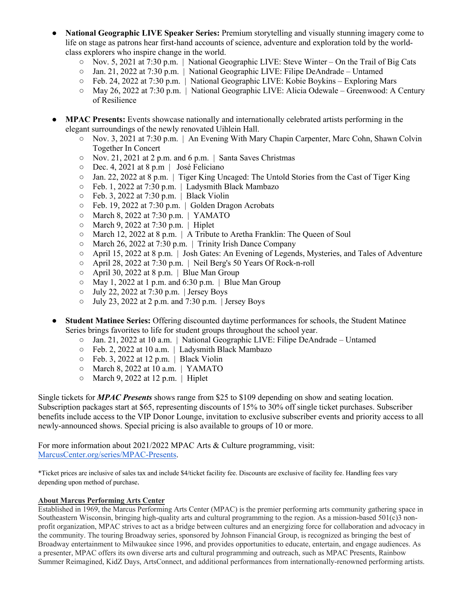- **National Geographic LIVE Speaker Series:** Premium storytelling and visually stunning imagery come to life on stage as patrons hear first-hand accounts of science, adventure and exploration told by the worldclass explorers who inspire change in the world.
	- Nov. 5, 2021 at 7:30 p.m. | National Geographic LIVE: Steve Winter On the Trail of Big Cats
	- Jan. 21, 2022 at 7:30 p.m. | National Geographic LIVE: Filipe DeAndrade Untamed
	- Feb. 24, 2022 at 7:30 p.m. | National Geographic LIVE: Kobie Boykins Exploring Mars
	- May 26, 2022 at 7:30 p.m. | National Geographic LIVE: Alicia Odewale Greenwood: A Century of Resilience
- **MPAC Presents:** Events showcase nationally and internationally celebrated artists performing in the elegant surroundings of the newly renovated Uihlein Hall.
	- Nov. 3, 2021 at 7:30 p.m. | An Evening With Mary Chapin Carpenter, Marc Cohn, Shawn Colvin Together In Concert
	- Nov. 21, 2021 at 2 p.m. and 6 p.m. | Santa Saves Christmas
	- Dec. 4, 2021 at 8 p.m | José Feliciano
	- Jan. 22, 2022 at 8 p.m. | Tiger King Uncaged: The Untold Stories from the Cast of Tiger King
	- Feb. 1, 2022 at 7:30 p.m. | Ladysmith Black Mambazo
	- Feb. 3, 2022 at 7:30 p.m. | Black Violin
	- Feb. 19, 2022 at 7:30 p.m. | Golden Dragon Acrobats
	- March 8, 2022 at 7:30 p.m. | YAMATO
	- March 9, 2022 at 7:30 p.m. | Hiplet
	- March 12, 2022 at 8 p.m. | A Tribute to Aretha Franklin: The Queen of Soul
	- March 26, 2022 at 7:30 p.m. | Trinity Irish Dance Company
	- April 15, 2022 at 8 p.m. | Josh Gates: An Evening of Legends, Mysteries, and Tales of Adventure
	- April 28, 2022 at 7:30 p.m. | Neil Berg's 50 Years Of Rock-n-roll
	- $\circ$  April 30, 2022 at 8 p.m. | Blue Man Group
	- $\circ$  May 1, 2022 at 1 p.m. and 6:30 p.m. | Blue Man Group
	- July 22, 2022 at 7:30 p.m. | Jersey Boys
	- $\circ$  July 23, 2022 at 2 p.m. and 7:30 p.m. | Jersey Boys
- **Student Matinee Series:** Offering discounted daytime performances for schools, the Student Matinee Series brings favorites to life for student groups throughout the school year.
	- $\circ$  Jan. 21, 2022 at 10 a.m. | National Geographic LIVE: Filipe DeAndrade Untamed
	- Feb. 2, 2022 at 10 a.m. | Ladysmith Black Mambazo
	- Feb. 3, 2022 at 12 p.m. | Black Violin
	- March 8, 2022 at 10 a.m. | YAMATO
	- March 9, 2022 at 12 p.m. | Hiplet

Single tickets for *MPAC Presents* shows range from \$25 to \$109 depending on show and seating location. Subscription packages start at \$65, representing discounts of 15% to 30% off single ticket purchases. Subscriber benefits include access to the VIP Donor Lounge, invitation to exclusive subscriber events and priority access to all newly-announced shows. Special pricing is also available to groups of 10 or more.

For more information about 2021/2022 MPAC Arts & Culture programming, visit: MarcusCenter.org/series/MPAC-Presents.

\*Ticket prices are inclusive of sales tax and include \$4/ticket facility fee. Discounts are exclusive of facility fee. Handling fees vary depending upon method of purchase.

## **About Marcus Performing Arts Center**

Established in 1969, the Marcus Performing Arts Center (MPAC) is the premier performing arts community gathering space in Southeastern Wisconsin, bringing high-quality arts and cultural programming to the region. As a mission-based 501(c)3 nonprofit organization, MPAC strives to act as a bridge between cultures and an energizing force for collaboration and advocacy in the community. The touring Broadway series, sponsored by Johnson Financial Group, is recognized as bringing the best of Broadway entertainment to Milwaukee since 1996, and provides opportunities to educate, entertain, and engage audiences. As a presenter, MPAC offers its own diverse arts and cultural programming and outreach, such as MPAC Presents, Rainbow Summer Reimagined, KidZ Days, ArtsConnect, and additional performances from internationally-renowned performing artists.